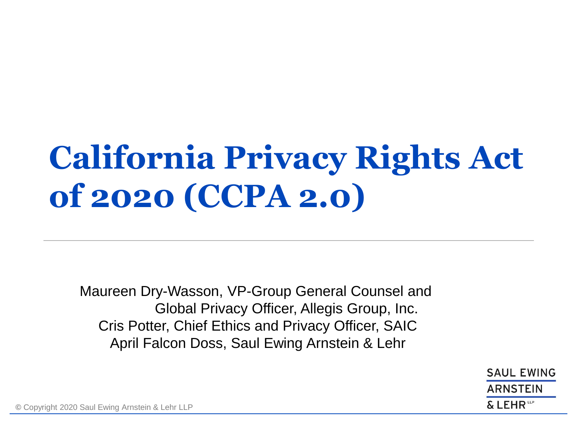## **California Privacy Rights Act of 2020 (CCPA 2.0)**

Maureen Dry-Wasson, VP-Group General Counsel and Global Privacy Officer, Allegis Group, Inc. Cris Potter, Chief Ethics and Privacy Officer, SAIC April Falcon Doss, Saul Ewing Arnstein & Lehr

> **SAUL EWING ARNSTEIN**  $\&$  LEHR<sup>to</sup>

**©** Copyright 2020 Saul Ewing Arnstein & Lehr LLP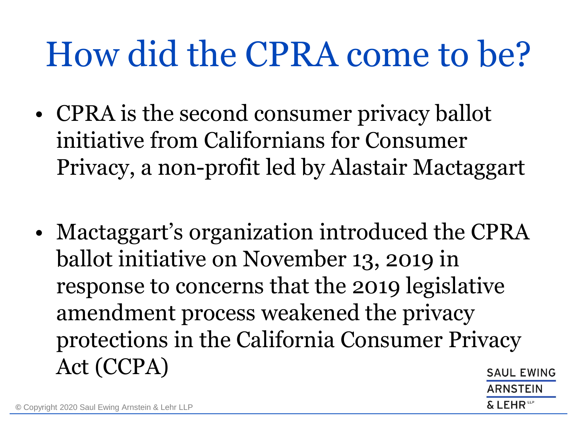# How did the CPRA come to be?

- CPRA is the second consumer privacy ballot initiative from Californians for Consumer Privacy, a non-profit led by Alastair Mactaggart
- Mactaggart's organization introduced the CPRA ballot initiative on November 13, 2019 in response to concerns that the 2019 legislative amendment process weakened the privacy protections in the California Consumer Privacy Act (CCPA)**SAUL EWING**

ARNSTEIN

FHR<sup>te</sup>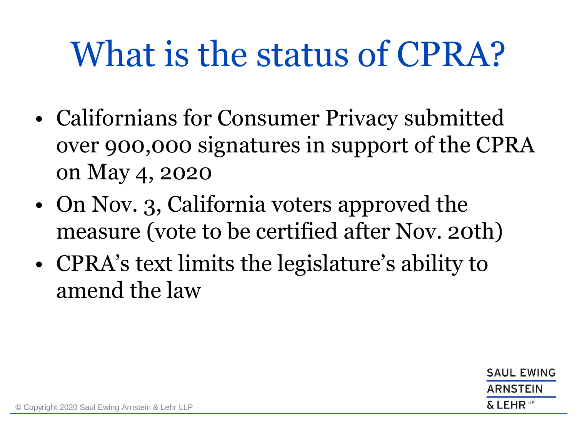# What is the status of CPRA?

- Californians for Consumer Privacy submitted over 900,000 signatures in support of the CPRA on May 4, 2020
- On Nov. 3, California voters approved the measure (vote to be certified after Nov. 20th)
- CPRA's text limits the legislature's ability to amend the law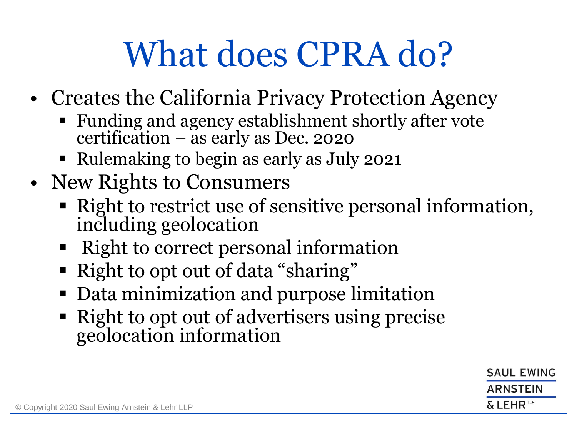- Creates the California Privacy Protection Agency
	- Funding and agency establishment shortly after vote certification – as early as Dec. 2020
	- Rulemaking to begin as early as July 2021
- New Rights to Consumers
	- Right to restrict use of sensitive personal information, including geolocation
	- Right to correct personal information
	- Right to opt out of data "sharing"
	- Data minimization and purpose limitation
	- Right to opt out of advertisers using precise geolocation information

**SAUL EWING ARNSTEIN**  $\&$  LEHR  $^{\text{\tiny{UP}}}$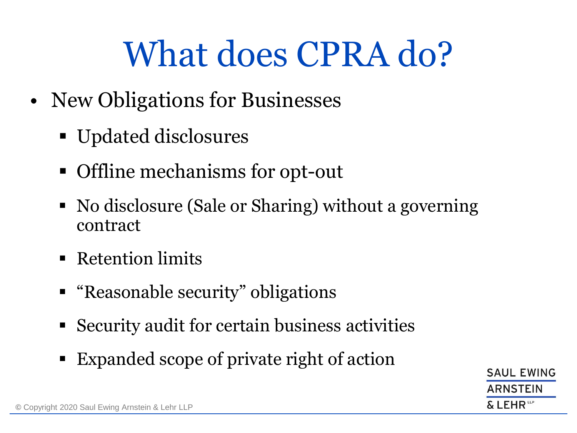- New Obligations for Businesses
	- Updated disclosures
	- Offline mechanisms for opt-out
	- No disclosure (Sale or Sharing) without a governing contract
	- Retention limits
	- "Reasonable security" obligations
	- Security audit for certain business activities
	- Expanded scope of private right of action

**SAUL EWING ARNSTEIN**  $\&$  LEHR  $^{\text{\tiny{UP}}}$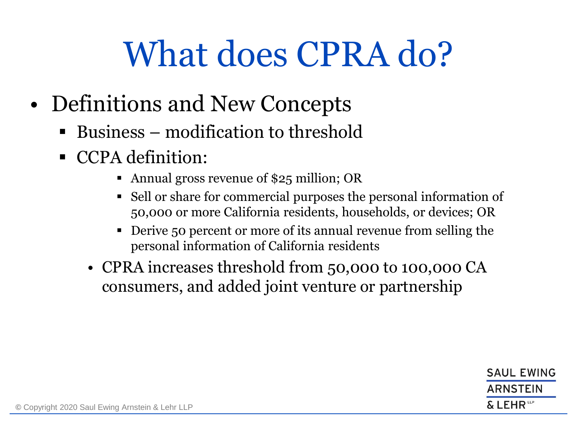- Definitions and New Concepts
	- Business modification to threshold
	- CCPA definition:
		- Annual gross revenue of \$25 million; OR
		- Sell or share for commercial purposes the personal information of 50,000 or more California residents, households, or devices; OR
		- Derive 50 percent or more of its annual revenue from selling the personal information of California residents
		- CPRA increases threshold from 50,000 to 100,000 CA consumers, and added joint venture or partnership

**SAUL EWING ARNSTEIN** & LEHR<sup>te</sup>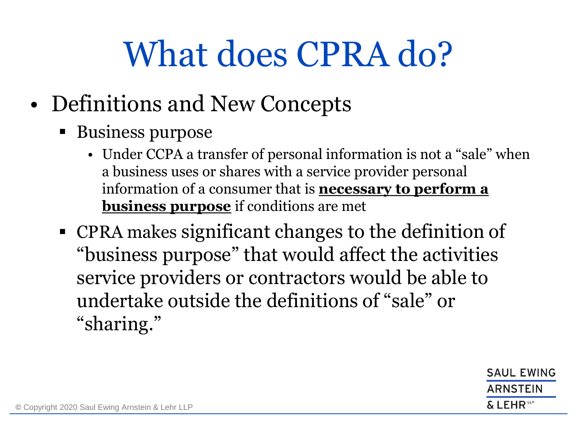- Definitions and New Concepts
	- Business purpose
		- Under CCPA a transfer of personal information is not a "sale" when a business uses or shares with a service provider personal information of a consumer that is **necessary to perform a business purpose** if conditions are met
	- CPRA makes significant changes to the definition of "business purpose" that would affect the activities service providers or contractors would be able to undertake outside the definitions of "sale" or "sharing."

**SAUL EWING ARNSTEIN** & LEHR<sup>te</sup>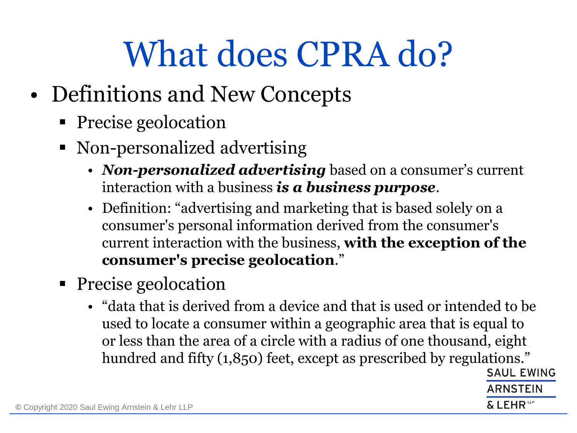- Definitions and New Concepts
	- Precise geolocation
	- Non-personalized advertising
		- *Non-personalized advertising* based on a consumer's current interaction with a business *is a business purpose*.
		- Definition: "advertising and marketing that is based solely on a consumer's personal information derived from the consumer's current interaction with the business, **with the exception of the consumer's precise geolocation**."
	- Precise geolocation
		- "data that is derived from a device and that is used or intended to be used to locate a consumer within a geographic area that is equal to or less than the area of a circle with a radius of one thousand, eight hundred and fifty (1,850) feet, except as prescribed by regulations." **SAUL EWING**

ARNSTEIN

 $\&$  LEHR  $^{\text{\tiny{UP}}}$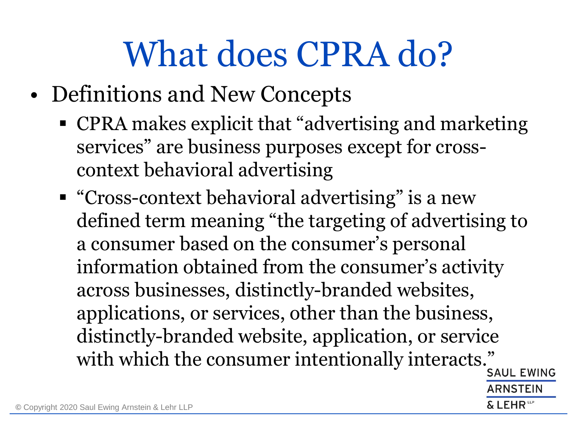- Definitions and New Concepts
	- CPRA makes explicit that "advertising and marketing" services" are business purposes except for crosscontext behavioral advertising
	- "Cross-context behavioral advertising" is a new defined term meaning "the targeting of advertising to a consumer based on the consumer's personal information obtained from the consumer's activity across businesses, distinctly-branded websites, applications, or services, other than the business, distinctly-branded website, application, or service with which the consumer intentionally interacts."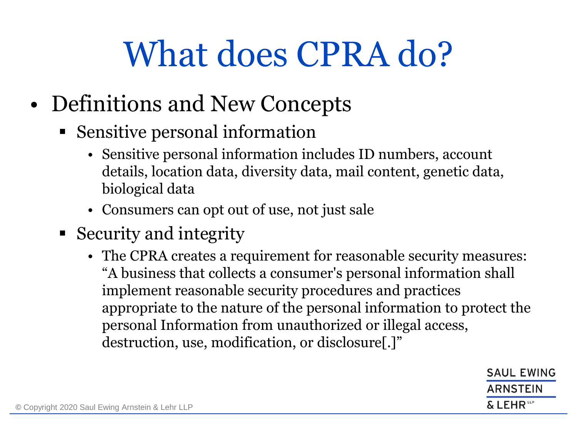- Definitions and New Concepts
	- Sensitive personal information
		- Sensitive personal information includes ID numbers, account details, location data, diversity data, mail content, genetic data, biological data
		- Consumers can opt out of use, not just sale
	- Security and integrity
		- The CPRA creates a requirement for reasonable security measures: "A business that collects a consumer's personal information shall implement reasonable security procedures and practices appropriate to the nature of the personal information to protect the personal Information from unauthorized or illegal access, destruction, use, modification, or disclosure[.]"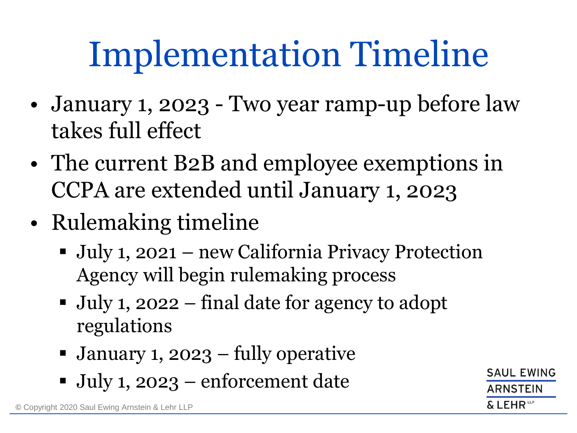# Implementation Timeline

- January 1, 2023 Two year ramp-up before law takes full effect
- The current B2B and employee exemptions in CCPA are extended until January 1, 2023
- Rulemaking timeline
	- July 1, 2021 new California Privacy Protection Agency will begin rulemaking process
	- July 1, 2022 final date for agency to adopt regulations
	- January 1, 2023 fully operative
	- July 1, 2023 enforcement date

**SAUL EWING** RNSTEIN  $\boldsymbol{\delta}$  <code>LEHR</code>  $^{\omega}$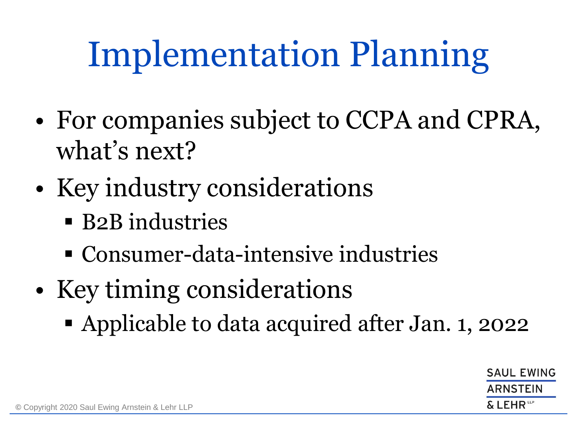# Implementation Planning

- For companies subject to CCPA and CPRA, what's next?
- Key industry considerations
	- **EXA** B2B industries
	- Consumer-data-intensive industries
- Key timing considerations
	- Applicable to data acquired after Jan. 1, 2022

**SAUL EWING** ARNSTEIN FHR<sup>te</sup>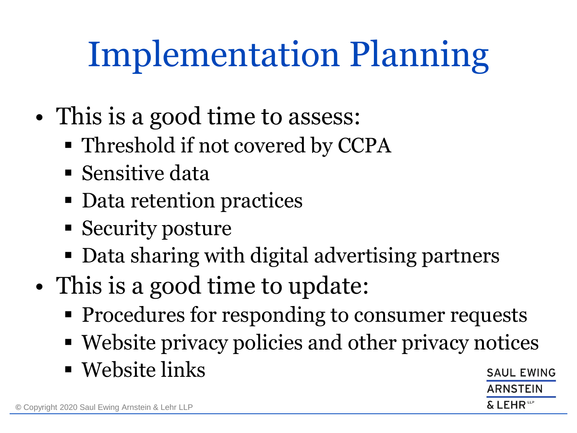# Implementation Planning

- This is a good time to assess:
	- Threshold if not covered by CCPA
	- $\blacksquare$  Sensitive data
	- Data retention practices
	- Security posture
	- Data sharing with digital advertising partners
- This is a good time to update:
	- **Procedures for responding to consumer requests**
	- Website privacy policies and other privacy notices
	- $\blacksquare$  Website links

**SAUL EWING** ARNSTEIN LEHR<sup>t⊮</sup>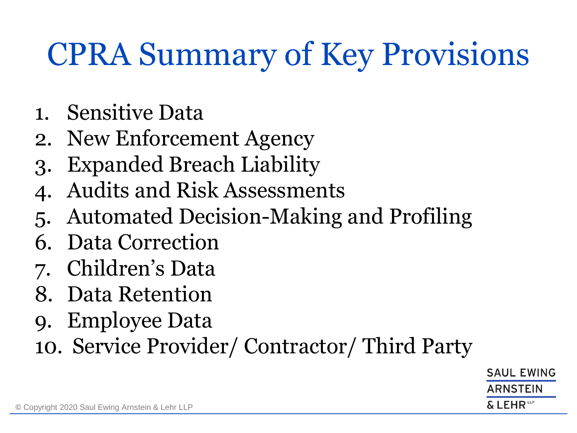## CPRA Summary of Key Provisions

- 1. Sensitive Data
- 2. New Enforcement Agency
- 3. Expanded Breach Liability
- 4. Audits and Risk Assessments
- 5. Automated Decision-Making and Profiling
- 6. Data Correction
- 7. Children's Data
- 8. Data Retention
- 9. Employee Data
- 10. Service Provider/ Contractor/ Third Party

**SAUL EWING** ARNSTEIN & LEHR™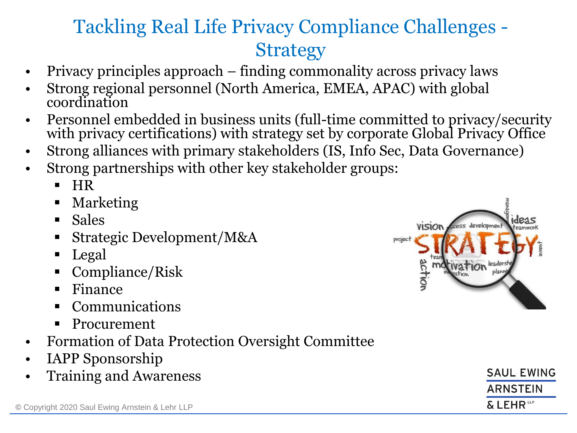### Tackling Real Life Privacy Compliance Challenges - **Strategy**

- Privacy principles approach finding commonality across privacy laws
- Strong regional personnel (North America, EMEA, APAC) with global coordination
- Personnel embedded in business units (full-time committed to privacy/security with privacy certifications) with strategy set by corporate Global Privacy Office
- Strong alliances with primary stakeholders (IS, Info Sec, Data Governance)
- Strong partnerships with other key stakeholder groups:
	- HR
	- Marketing
	- Sales
	- Strategic Development/M&A
	- Legal
	- Compliance/Risk
	- **Finance**
	- **Communications**
	- **Procurement**
- Formation of Data Protection Oversight Committee
- IAPP Sponsorship
- Training and Awareness



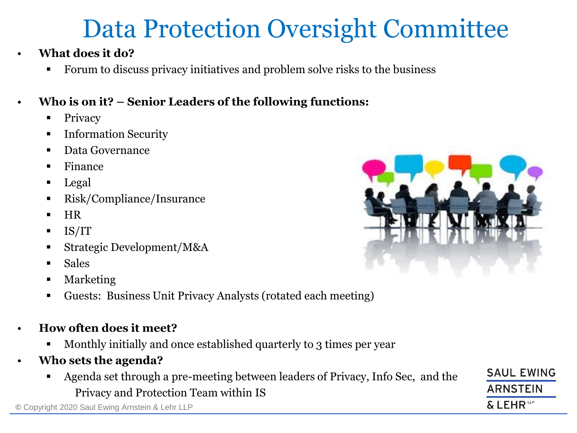### Data Protection Oversight Committee

- **What does it do?**
	- Forum to discuss privacy initiatives and problem solve risks to the business

### • **Who is on it? – Senior Leaders of the following functions:**

- Privacy
- **Information Security**
- Data Governance
- Finance
- Legal
- Risk/Compliance/Insurance
- HR
- IS/IT
- Strategic Development/M&A
- **Sales**
- **Marketing**
- Guests: Business Unit Privacy Analysts (rotated each meeting)
- **How often does it meet?**
	- Monthly initially and once established quarterly to 3 times per year
- **Who sets the agenda?**
	- Agenda set through a pre-meeting between leaders of Privacy, Info Sec, and the Privacy and Protection Team within IS

**©** Copyright 2020 Saul Ewing Arnstein & Lehr LLP



**SAUL EWING** 

**ARNSTEIN** 

& LEHR<sup>ttp</sup>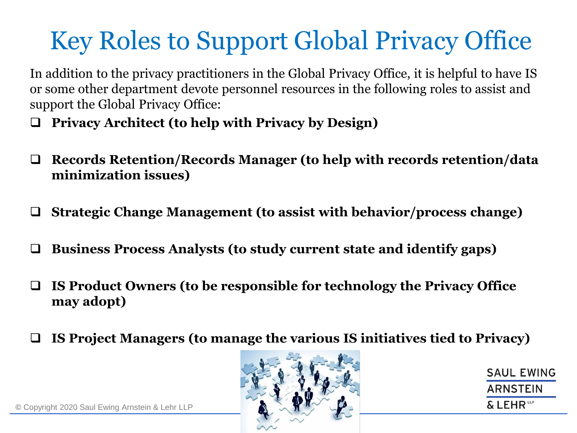## Key Roles to Support Global Privacy Office

In addition to the privacy practitioners in the Global Privacy Office, it is helpful to have IS or some other department devote personnel resources in the following roles to assist and support the Global Privacy Office:

❑ **Privacy Architect (to help with Privacy by Design)**

- ❑ **Records Retention/Records Manager (to help with records retention/data minimization issues)**
- ❑ **Strategic Change Management (to assist with behavior/process change)**
- ❑ **Business Process Analysts (to study current state and identify gaps)**
- ❑ **IS Product Owners (to be responsible for technology the Privacy Office may adopt)**
- ❑ **IS Project Managers (to manage the various IS initiatives tied to Privacy)**



**SAUL EWING ARNSTEIN**  $\&$  LEHR<sup>to</sup>

**©** Copyright 2020 Saul Ewing Arnstein & Lehr LLP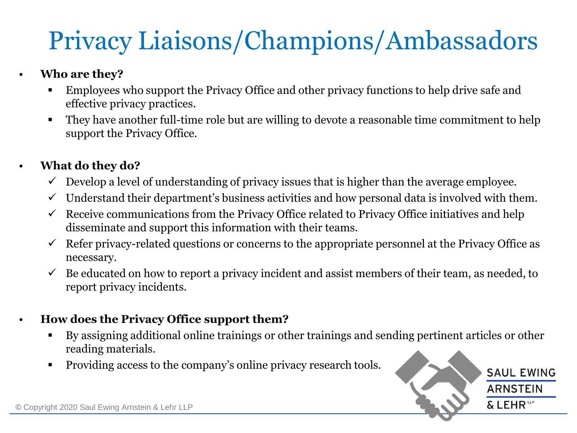## Privacy Liaisons/Champions/Ambassadors

#### • **Who are they?**

- Employees who support the Privacy Office and other privacy functions to help drive safe and effective privacy practices.
- They have another full-time role but are willing to devote a reasonable time commitment to help support the Privacy Office.

#### • **What do they do?**

- $\checkmark$  Develop a level of understanding of privacy issues that is higher than the average employee.
- $\checkmark$  Understand their department's business activities and how personal data is involved with them.
- $\checkmark$  Receive communications from the Privacy Office related to Privacy Office initiatives and help disseminate and support this information with their teams.
- $\checkmark$  Refer privacy-related questions or concerns to the appropriate personnel at the Privacy Office as necessary.
- $\checkmark$  Be educated on how to report a privacy incident and assist members of their team, as needed, to report privacy incidents.

#### • **How does the Privacy Office support them?**

- By assigning additional online trainings or other trainings and sending pertinent articles or other reading materials.
- Providing access to the company's online privacy research tools.

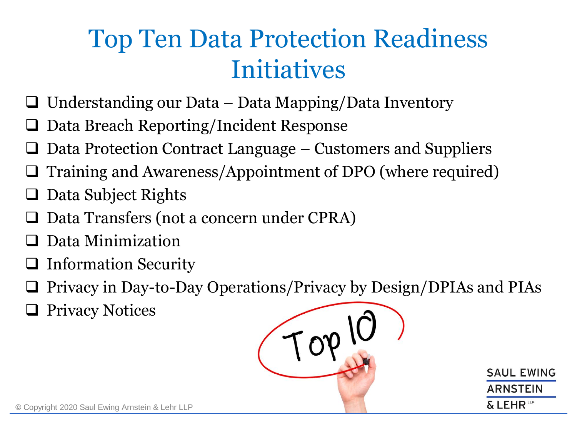### Top Ten Data Protection Readiness Initiatives

- ❑ Understanding our Data Data Mapping/Data Inventory
- ❑ Data Breach Reporting/Incident Response
- Data Protection Contract Language Customers and Suppliers
- ❑ Training and Awareness/Appointment of DPO (where required)
- ❑ Data Subject Rights
- ❑ Data Transfers (not a concern under CPRA)
- ❑ Data Minimization
- ❑ Information Security
- ❑ Privacy in Day-to-Day Operations/Privacy by Design/DPIAs and PIAs
- ❑ Privacy Notices